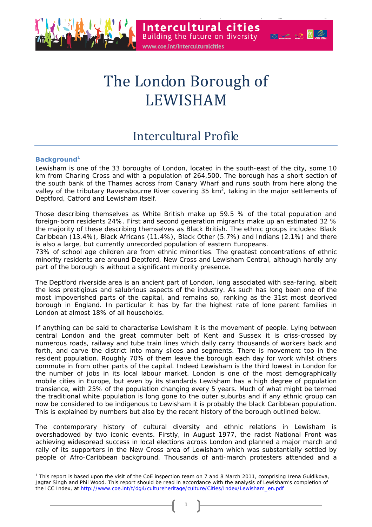

# The London Borough of LEWISHAM

# Intercultural Profile

# **Background<sup>1</sup>**

 $\overline{a}$ 

Lewisham is one of the 33 boroughs of London, located in the south-east of the city, some 10 km from Charing Cross and with a population of 264,500. The borough has a short section of the south bank of the Thames across from Canary Wharf and runs south from here along the valley of the tributary Ravensbourne River covering 35 km<sup>2</sup>, taking in the major settlements of Deptford, Catford and Lewisham itself.

Those describing themselves as White British make up 59.5 % of the total population and foreign-born residents 24%. First and second generation migrants make up an estimated 32 % the majority of these describing themselves as Black British. The ethnic groups includes: Black Caribbean (13.4%), Black Africans (11.4%), Black Other (5.7%) and Indians (2.1%) and there is also a large, but currently unrecorded population of eastern Europeans.

73% of school age children are from ethnic minorities. The greatest concentrations of ethnic minority residents are around Deptford, New Cross and Lewisham Central, although hardly any part of the borough is without a significant minority presence.

The Deptford riverside area is an ancient part of London, long associated with sea-faring, albeit the less prestigious and salubrious aspects of the industry. As such has long been one of the most impoverished parts of the capital, and remains so, ranking as the 31st most deprived borough in England. In particular it has by far the highest rate of lone parent families in London at almost 18% of all households.

If anything can be said to characterise Lewisham it is the movement of people. Lying between central London and the great commuter belt of Kent and Sussex it is criss-crossed by numerous roads, railway and tube train lines which daily carry thousands of workers back and forth, and carve the district into many slices and segments. There is movement too in the resident population. Roughly 70% of them leave the borough each day for work whilst others commute in from other parts of the capital. Indeed Lewisham is the third lowest in London for the number of jobs in its local labour market. London is one of the most demographically mobile cities in Europe, but even by its standards Lewisham has a high degree of population transience, with 25% of the population changing every 5 years. Much of what might be termed the traditional white population is long gone to the outer suburbs and if any ethnic group can now be considered to be indigenous to Lewisham it is probably the black Caribbean population. This is explained by numbers but also by the recent history of the borough outlined below.

The contemporary history of cultural diversity and ethnic relations in Lewisham is overshadowed by two iconic events. Firstly, in August 1977, the racist National Front was achieving widespread success in local elections across London and planned a major march and rally of its supporters in the New Cross area of Lewisham which was substantially settled by people of Afro-Caribbean background. Thousands of anti-march protesters attended and a

<sup>&</sup>lt;sup>1</sup> This report is based upon the visit of the CoE inspection team on 7 and 8 March 2011, comprising Irena Guidikova, Jagtar Singh and Phil Wood. This report should be read in accordance with the analysis of Lewisham's completion of the ICC Index, at http://www.coe.int/t/dg4/cultureheritage/culture/Cities/Index/Lewisham\_en.pdf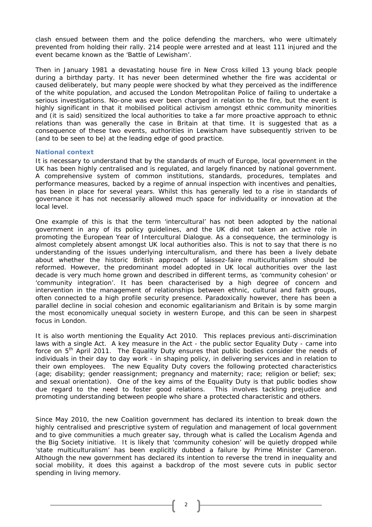clash ensued between them and the police defending the marchers, who were ultimately prevented from holding their rally. 214 people were arrested and at least 111 injured and the event became known as the 'Battle of Lewisham'.

Then in January 1981 a devastating house fire in New Cross killed 13 young black people during a birthday party. It has never been determined whether the fire was accidental or caused deliberately, but many people were shocked by what they perceived as the indifference of the white population, and accused the London Metropolitan Police of failing to undertake a serious investigations. No-one was ever been charged in relation to the fire, but the event is highly significant in that it mobilised political activism amongst ethnic community minorities and (it is said) sensitized the local authorities to take a far more proactive approach to ethnic relations than was generally the case in Britain at that time. It is suggested that as a consequence of these two events, authorities in Lewisham have subsequently striven to be (and to be seen to be) at the leading edge of good practice.

#### **National context**

It is necessary to understand that by the standards of much of Europe, local government in the UK has been highly centralised and is regulated, and largely financed by national government. A comprehensive system of common institutions, standards, procedures, templates and performance measures, backed by a regime of annual inspection with incentives and penalties, has been in place for several years. Whilst this has generally led to a rise in standards of governance it has not necessarily allowed much space for individuality or innovation at the local level.

One example of this is that the term 'intercultural' has not been adopted by the national government in any of its policy guidelines, and the UK did not taken an active role in promoting the European Year of Intercultural Dialogue. As a consequence, the terminology is almost completely absent amongst UK local authorities also. This is not to say that there is no understanding of the issues underlying interculturalism, and there has been a lively debate about whether the historic British approach of laissez-faire multiculturalism should be reformed. However, the predominant model adopted in UK local authorities over the last decade is very much home grown and described in different terms, as 'community cohesion' or 'community integration'. It has been characterised by a high degree of concern and intervention in the management of relationships between ethnic, cultural and faith groups, often connected to a high profile security presence. Paradoxically however, there has been a parallel decline in social cohesion and economic egalitarianism and Britain is by some margin the most economically unequal society in western Europe, and this can be seen in sharpest focus in London.

It is also worth mentioning the Equality Act 2010. This replaces previous anti-discrimination laws with a single Act. A key measure in the Act - the public sector Equality Duty - came into force on  $5<sup>th</sup>$  April 2011. The Equality Duty ensures that public bodies consider the needs of individuals in their day to day work - in shaping policy, in delivering services and in relation to their own employees. The new Equality Duty covers the following protected characteristics (age; disability; gender reassignment; pregnancy and maternity; race; religion or belief; sex; and sexual orientation). One of the key aims of the Equality Duty is that public bodies show due regard to the need to foster good relations. This involves tackling prejudice and promoting understanding between people who share a protected characteristic and others.

Since May 2010, the new Coalition government has declared its intention to break down the highly centralised and prescriptive system of regulation and management of local government and to give communities a much greater say, through what is called the Localism Agenda and the Big Society initiative. It is likely that 'community cohesion' will be quietly dropped while 'state multiculturalism' has been explicitly dubbed a failure by Prime Minister Cameron. Although the new government has declared its intention to reverse the trend in inequality and social mobility, it does this against a backdrop of the most severe cuts in public sector spending in living memory.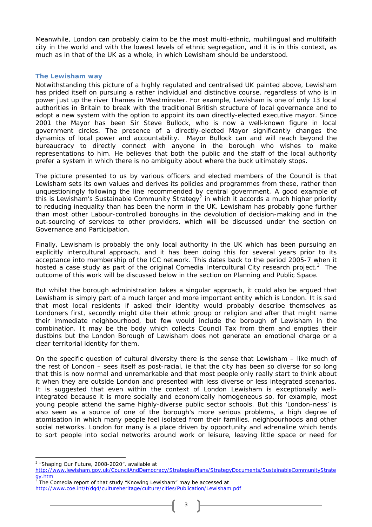Meanwhile, London can probably claim to be the most multi-ethnic, multilingual and multifaith city in the world and with the lowest levels of ethnic segregation, and it is in this context, as much as in that of the UK as a whole, in which Lewisham should be understood.

#### **The Lewisham way**

Notwithstanding this picture of a highly regulated and centralised UK painted above, Lewisham has prided itself on pursuing a rather individual and distinctive course, regardless of who is in power just up the river Thames in Westminster. For example, Lewisham is one of only 13 local authorities in Britain to break with the traditional British structure of local governance and to adopt a new system with the option to appoint its own directly-elected executive mayor. Since 2001 the Mayor has been Sir Steve Bullock, who is now a well-known figure in local government circles. The presence of a directly-elected Mayor significantly changes the dynamics of local power and accountability. Mayor Bullock can and will reach beyond the bureaucracy to directly connect with anyone in the borough who wishes to make representations to him. He believes that both the public and the staff of the local authority prefer a system in which there is no ambiguity about where the buck ultimately stops.

The picture presented to us by various officers and elected members of the Council is that Lewisham sets its own values and derives its policies and programmes from these, rather than unquestioningly following the line recommended by central government. A good example of this is Lewisham's Sustainable Community Strategy<sup>2</sup> in which it accords a much higher priority to reducing inequality than has been the norm in the UK. Lewisham has probably gone further than most other Labour-controlled boroughs in the devolution of decision-making and in the out-sourcing of services to other providers, which will be discussed under the section on Governance and Participation.

Finally, Lewisham is probably the only local authority in the UK which has been pursuing an explicitly intercultural approach, and it has been doing this for several years prior to its acceptance into membership of the ICC network. This dates back to the period 2005-7 when it hosted a case study as part of the original Comedia Intercultural City research project.<sup>3</sup> The outcome of this work will be discussed below in the section on Planning and Public Space.

But whilst the borough administration takes a singular approach, it could also be argued that Lewisham is simply part of a much larger and more important entity which is London. It is said that most local residents if asked their identity would probably describe themselves as Londoners first, secondly might cite their ethnic group or religion and after that might name their immediate neighbourhood, but few would include the borough of Lewisham in the combination. It may be the body which collects Council Tax from them and empties their dustbins but the London Borough of Lewisham does not generate an emotional charge or a clear territorial identity for them.

On the specific question of cultural diversity there is the sense that Lewisham – like much of the rest of London – sees itself as post-racial, ie that the city has been so diverse for so long that this is now normal and unremarkable and that most people only really start to think about it when they are outside London and presented with less diverse or less integrated scenarios. It is suggested that even within the context of London Lewisham is exceptionally wellintegrated because it is more socially and economically homogeneous so, for example, most young people attend the same highly-diverse public sector schools. But this 'London-ness' is also seen as a source of one of the borough's more serious problems, a high degree of atomisation in which many people feel isolated from their families, neighbourhoods and other social networks. London for many is a place driven by opportunity and adrenaline which tends to sort people into social networks around work or leisure, leaving little space or need for

 $\overline{a}$ <sup>2</sup> "Shaping Our Future, 2008-2020", available at

http://www.lewisham.gov.uk/CouncilAndDemocracy/StrategiesPlans/StrategyDocuments/SustainableCommunityStrate gy.htm

<sup>3</sup> The Comedia report of that study "Knowing Lewisham" may be accessed at http://www.coe.int/t/dg4/cultureheritage/culture/cities/Publication/Lewisham.pdf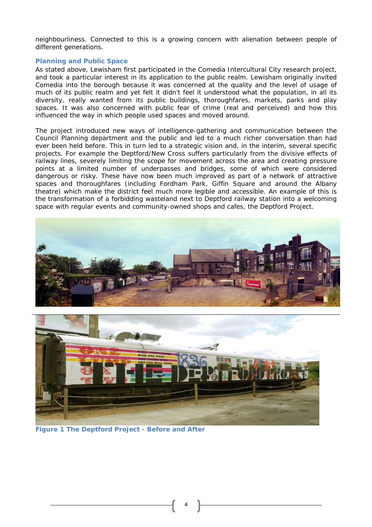neighbourliness. Connected to this is a growing concern with alienation between people of different generations.

#### **Planning and Public Space**

As stated above, Lewisham first participated in the Comedia Intercultural City research project, and took a particular interest in its application to the public realm. Lewisham originally invited Comedia into the borough because it was concerned at the quality and the level of usage of much of its public realm and yet felt it didn't feel it understood what the population, in all its diversity, really wanted from its public buildings, thoroughfares, markets, parks and play spaces. It was also concerned with public fear of crime (real and perceived) and how this influenced the way in which people used spaces and moved around.

The project introduced new ways of intelligence-gathering and communication between the Council Planning department and the public and led to a much richer conversation than had ever been held before. This in turn led to a strategic vision and, in the interim, several specific projects. For example the Deptford/New Cross suffers particularly from the divisive effects of railway lines, severely limiting the scope for movement across the area and creating pressure points at a limited number of underpasses and bridges, some of which were considered dangerous or risky. These have now been much improved as part of a network of attractive spaces and thoroughfares (including Fordham Park, Giffin Square and around the Albany theatre) which make the district feel much more legible and accessible. An example of this is the transformation of a forbidding wasteland next to Deptford railway station into a welcoming space with regular events and community-owned shops and cafes, the Deptford Project.





**Figure 1 The Deptford Project - Before and After**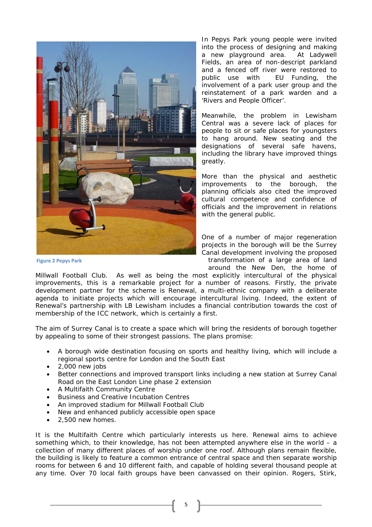

In Pepys Park young people were invited into the process of designing and making a new playground area. At Ladywell Fields, an area of non-descript parkland and a fenced off river were restored to public use with EU Funding, the involvement of a park user group and the reinstatement of a park warden and a 'Rivers and People Officer'.

Meanwhile, the problem in Lewisham Central was a severe lack of places for people to sit or safe places for youngsters to hang around. New seating and the designations of several safe havens, including the library have improved things greatly.

More than the physical and aesthetic improvements to the borough, the planning officials also cited the improved cultural competence and confidence of officials and the improvement in relations with the general public.

One of a number of major regeneration projects in the borough will be the Surrey Canal development involving the proposed transformation of a large area of land around the New Den, the home of

Millwall Football Club. As well as being the most explicitly intercultural of the physical improvements, this is a remarkable project for a number of reasons. Firstly, the private development partner for the scheme is Renewal, a multi-ethnic company with a deliberate agenda to initiate projects which will encourage intercultural living. Indeed, the extent of Renewal's partnership with LB Lewisham includes a financial contribution towards the cost of membership of the ICC network, which is certainly a first.

The aim of Surrey Canal is to create a space which will bring the residents of borough together by appealing to some of their strongest passions. The plans promise:

- A borough wide destination focusing on sports and healthy living, which will include a regional sports centre for London and the South East
- 2,000 new jobs
- Better connections and improved transport links including a new station at Surrey Canal Road on the East London Line phase 2 extension
- A Multifaith Community Centre
- Business and Creative Incubation Centres
- An improved stadium for Millwall Football Club
- New and enhanced publicly accessible open space
- 2,500 new homes.

It is the Multifaith Centre which particularly interests us here. Renewal aims to achieve something which, to their knowledge, has not been attempted anywhere else in the world – a collection of many different places of worship under one roof. Although plans remain flexible, the building is likely to feature a common entrance of central space and then separate worship rooms for between 6 and 10 different faith, and capable of holding several thousand people at any time. Over 70 local faith groups have been canvassed on their opinion. Rogers, Stirk,

5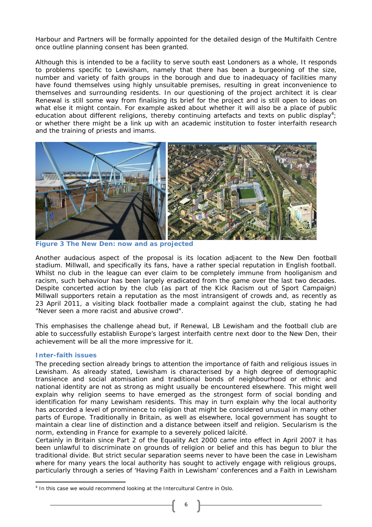Harbour and Partners will be formally appointed for the detailed design of the Multifaith Centre once outline planning consent has been granted.

Although this is intended to be a facility to serve south east Londoners as a whole, It responds to problems specific to Lewisham, namely that there has been a burgeoning of the size, number and variety of faith groups in the borough and due to inadequacy of facilities many have found themselves using highly unsuitable premises, resulting in great inconvenience to themselves and surrounding residents. In our questioning of the project architect it is clear Renewal is still some way from finalising its brief for the project and is still open to ideas on what else it might contain. For example asked about whether it will also be a place of public education about different religions, thereby continuing artefacts and texts on public display<sup>4</sup>; or whether there might be a link up with an academic institution to foster interfaith research and the training of priests and imams.



**Figure 3 The New Den: now and as projected** 

Another audacious aspect of the proposal is its location adjacent to the New Den football stadium. Millwall, and specifically its fans, have a rather special reputation in English football. Whilst no club in the league can ever claim to be completely immune from hooliganism and racism, such behaviour has been largely eradicated from the game over the last two decades. Despite concerted action by the club (as part of the Kick Racism out of Sport Campaign) Millwall supporters retain a reputation as the most intransigent of crowds and, as recently as 23 April 2011, a visiting black footballer made a complaint against the club, stating he had "Never seen a more racist and abusive crowd".

This emphasises the challenge ahead but, if Renewal, LB Lewisham and the football club are able to successfully establish Europe's largest interfaith centre next door to the New Den, their achievement will be all the more impressive for it.

## **Inter-faith issues**

The preceding section already brings to attention the importance of faith and religious issues in Lewisham. As already stated, Lewisham is characterised by a high degree of demographic transience and social atomisation and traditional bonds of neighbourhood or ethnic and national identity are not as strong as might usually be encountered elsewhere. This might well explain why religion seems to have emerged as the strongest form of social bonding and identification for many Lewisham residents. This may in turn explain why the local authority has accorded a level of prominence to religion that might be considered unusual in many other parts of Europe. Traditionally in Britain, as well as elsewhere, local government has sought to maintain a clear line of distinction and a distance between itself and religion. Secularism is the norm, extending in France for example to a severely policed *laïcité*.

Certainly in Britain since Part 2 of the Equality Act 2000 came into effect in April 2007 it has been unlawful to discriminate on grounds of religion or belief and this has begun to blur the traditional divide. But strict secular separation seems never to have been the case in Lewisham where for many years the local authority has sought to actively engage with religious groups, particularly through a series of 'Having Faith in Lewisham' conferences and a Faith in Lewisham

 $\overline{\phantom{a}}$ <sup>4</sup> In this case we would recommend looking at the Intercultural Centre in Oslo.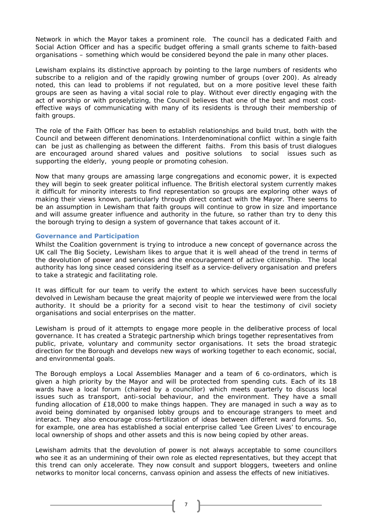Network in which the Mayor takes a prominent role. The council has a dedicated Faith and Social Action Officer and has a specific budget offering a small grants scheme to faith-based organisations – something which would be considered beyond the pale in many other places.

Lewisham explains its distinctive approach by pointing to the large numbers of residents who subscribe to a religion and of the rapidly growing number of groups (over 200). As already noted, this can lead to problems if not regulated, but on a more positive level these faith groups are seen as having a vital social role to play. Without ever directly engaging with the act of worship or with proselytizing, the Council believes that one of the best and most costeffective ways of communicating with many of its residents is through their membership of faith groups.

The role of the Faith Officer has been to establish relationships and build trust, both with the Council and between different denominations. Interdenominational conflict within a single faith can be just as challenging as between the different faiths. From this basis of trust dialogues are encouraged around shared values and positive solutions to social issues such as supporting the elderly, young people or promoting cohesion.

Now that many groups are amassing large congregations and economic power, it is expected they will begin to seek greater political influence. The British electoral system currently makes it difficult for minority interests to find representation so groups are exploring other ways of making their views known, particularly through direct contact with the Mayor. There seems to be an assumption in Lewisham that faith groups will continue to grow in size and importance and will assume greater influence and authority in the future, so rather than try to deny this the borough trying to design a system of governance that takes account of it.

#### **Governance and Participation**

Whilst the Coalition government is trying to introduce a new concept of governance across the UK call The Big Society, Lewisham likes to argue that it is well ahead of the trend in terms of the devolution of power and services and the encouragement of active citizenship. The local authority has long since ceased considering itself as a service-delivery organisation and prefers to take a strategic and facilitating role.

It was difficult for our team to verify the extent to which services have been successfully devolved in Lewisham because the great majority of people we interviewed were from the local authority. It should be a priority for a second visit to hear the testimony of civil society organisations and social enterprises on the matter.

Lewisham is proud of it attempts to engage more people in the deliberative process of local governance. It has created a Strategic partnership which brings together representatives from public, private, voluntary and community sector organisations. It sets the broad strategic direction for the Borough and develops new ways of working together to each economic, social, and environmental goals.

The Borough employs a Local Assemblies Manager and a team of 6 co-ordinators, which is given a high priority by the Mayor and will be protected from spending cuts. Each of its 18 wards have a local forum (chaired by a councillor) which meets quarterly to discuss local issues such as transport, anti-social behaviour, and the environment. They have a small funding allocation of £18,000 to make things happen. They are managed in such a way as to avoid being dominated by organised lobby groups and to encourage strangers to meet and interact. They also encourage cross-fertilization of ideas between different ward forums. So, for example, one area has established a social enterprise called 'Lee Green Lives' to encourage local ownership of shops and other assets and this is now being copied by other areas.

Lewisham admits that the devolution of power is not always acceptable to some councillors who see it as an undermining of their own role as elected representatives, but they accept that this trend can only accelerate. They now consult and support bloggers, tweeters and online networks to monitor local concerns, canvass opinion and assess the effects of new initiatives.

7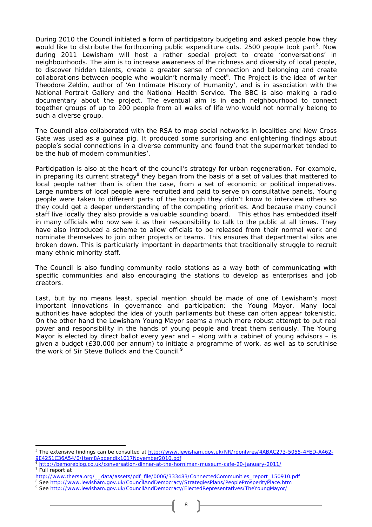During 2010 the Council initiated a form of participatory budgeting and asked people how they would like to distribute the forthcoming public expenditure cuts. 2500 people took part<sup>5</sup>. Now during 2011 Lewisham will host a rather special project to create 'conversations' in neighbourhoods. The aim is to increase awareness of the richness and diversity of local people, to discover hidden talents, create a greater sense of connection and belonging and create collaborations between people who wouldn't normally meet<sup>6</sup>. The Project is the idea of writer Theodore Zeldin, author of 'An Intimate History of Humanity', and is in association with the National Portrait Gallery and the National Health Service. The BBC is also making a radio documentary about the project. The eventual aim is in each neighbourhood to connect together groups of up to 200 people from all walks of life who would not normally belong to such a diverse group.

The Council also collaborated with the RSA to map social networks in localities and New Cross Gate was used as a guinea pig. It produced some surprising and enlightening findings about people's social connections in a diverse community and found that the supermarket tended to be the hub of modern communities<sup>7</sup>.

Participation is also at the heart of the council's strategy for urban regeneration. For example, in preparing its current strategy<sup>8</sup> they began from the basis of a set of values that mattered to local people rather than is often the case, from a set of economic or political imperatives. Large numbers of local people were recruited and paid to serve on consultative panels. Young people were taken to different parts of the borough they didn't know to interview others so they could get a deeper understanding of the competing priorities. And because many council staff live locally they also provide a valuable sounding board. This ethos has embedded itself in many officials who now see it as their responsibility to talk to the public at all times. They have also introduced a scheme to allow officials to be released from their normal work and nominate themselves to join other projects or teams. This ensures that departmental silos are broken down. This is particularly important in departments that traditionally struggle to recruit many ethnic minority staff.

The Council is also funding community radio stations as a way both of communicating with specific communities and also encouraging the stations to develop as enterprises and job creators.

Last, but by no means least, special mention should be made of one of Lewisham's most important innovations in governance and participation: the Young Mayor. Many local authorities have adopted the idea of youth parliaments but these can often appear tokenistic. On the other hand the Lewisham Young Mayor seems a much more robust attempt to put real power and responsibility in the hands of young people and treat them seriously. The Young Mayor is elected by direct ballot every year and  $-$  along with a cabinet of young advisors  $-$  is given a budget (£30,000 per annum) to initiate a programme of work, as well as to scrutinise the work of Sir Steve Bullock and the Council.<sup>9</sup>

 $\overline{\phantom{a}}$ 

<sup>&</sup>lt;sup>5</sup> The extensive findings can be consulted at http://www.lewisham.gov.uk/NR/rdonlyres/4ABAC273-5055-4FED-A462-9E4251C36A54/0/Item8Appendix1017November2010.pdf

<sup>6</sup> http://bemoreblog.co.uk/conversation-dinner-at-the-horniman-museum-cafe-20-january-2011/

<sup>7</sup> Full report at

http://www.thersa.org/\_\_data/assets/pdf\_file/0006/333483/ConnectedCommunities\_report\_150910.pdf

<sup>8</sup> See http://www.lewisham.gov.uk/CouncilAndDemocracy/StrategiesPlans/PeopleProsperityPlace.htm

<sup>9</sup> See http://www.lewisham.gov.uk/CouncilAndDemocracy/ElectedRepresentatives/TheYoungMayor/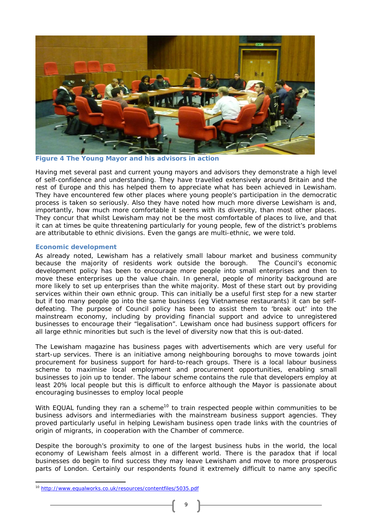

**Figure 4 The Young Mayor and his advisors in action** 

Having met several past and current young mayors and advisors they demonstrate a high level of self-confidence and understanding. They have travelled extensively around Britain and the rest of Europe and this has helped them to appreciate what has been achieved in Lewisham. They have encountered few other places where young people's participation in the democratic process is taken so seriously. Also they have noted how much more diverse Lewisham is and, importantly, how much more comfortable it seems with its diversity, than most other places. They concur that whilst Lewisham may not be the most comfortable of places to live, and that it can at times be quite threatening particularly for young people, few of the district's problems are attributable to ethnic divisions. Even the gangs are multi-ethnic, we were told.

# **Economic development**

As already noted, Lewisham has a relatively small labour market and business community because the majority of residents work outside the borough. The Council's economic development policy has been to encourage more people into small enterprises and then to move these enterprises up the value chain. In general, people of minority background are more likely to set up enterprises than the white majority. Most of these start out by providing services within their own ethnic group. This can initially be a useful first step for a new starter but if too many people go into the same business (eg Vietnamese restaurants) it can be selfdefeating. The purpose of Council policy has been to assist them to 'break out' into the mainstream economy, including by providing financial support and advice to unregistered businesses to encourage their "legalisation". Lewisham once had business support officers for all large ethnic minorities but such is the level of diversity now that this is out-dated.

The Lewisham magazine has business pages with advertisements which are very useful for start-up services. There is an initiative among neighbouring boroughs to move towards joint procurement for business support for hard-to-reach groups. There is a local labour business scheme to maximise local employment and procurement opportunities, enabling small businesses to join up to tender. The labour scheme contains the rule that developers employ at least 20% local people but this is difficult to enforce although the Mayor is passionate about encouraging businesses to employ local people

With EQUAL funding they ran a scheme<sup>10</sup> to train respected people within communities to be business advisors and intermediaries with the mainstream business support agencies. They proved particularly useful in helping Lewisham business open trade links with the countries of origin of migrants, in cooperation with the Chamber of commerce.

Despite the borough's proximity to one of the largest business hubs in the world, the local economy of Lewisham feels almost in a different world. There is the paradox that if local businesses do begin to find success they may leave Lewisham and move to more prosperous parts of London. Certainly our respondents found it extremely difficult to name any specific

 $\overline{\phantom{a}}$ 

<sup>10</sup> http://www.equalworks.co.uk/resources/contentfiles/5035.pdf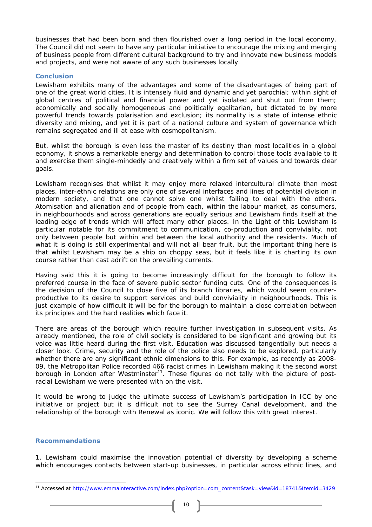businesses that had been born and then flourished over a long period in the local economy. The Council did not seem to have any particular initiative to encourage the mixing and merging of business people from different cultural background to try and innovate new business models and projects, and were not aware of any such businesses locally.

## **Conclusion**

Lewisham exhibits many of the advantages and some of the disadvantages of being part of one of the great world cities. It is intensely fluid and dynamic and yet parochial; within sight of global centres of political and financial power and yet isolated and shut out from them; economically and socially homogeneous and politically egalitarian, but dictated to by more powerful trends towards polarisation and exclusion; its normality is a state of intense ethnic diversity and mixing, and yet it is part of a national culture and system of governance which remains segregated and ill at ease with cosmopolitanism.

But, whilst the borough is even less the master of its destiny than most localities in a global economy, it shows a remarkable energy and determination to control those tools available to it and exercise them single-mindedly and creatively within a firm set of values and towards clear goals.

Lewisham recognises that whilst it may enjoy more relaxed intercultural climate than most places, inter-ethnic relations are only one of several interfaces and lines of potential division in modern society, and that one cannot solve one whilst failing to deal with the others. Atomisation and alienation and of people from each, within the labour market, as consumers, in neighbourhoods and across generations are equally serious and Lewisham finds itself at the leading edge of trends which will affect many other places. In the Light of this Lewisham is particular notable for its commitment to communication, co-production and conviviality, not only between people but within and between the local authority and the residents. Much of what it is doing is still experimental and will not all bear fruit, but the important thing here is that whilst Lewisham may be a ship on choppy seas, but it feels like it is charting its own course rather than cast adrift on the prevailing currents.

Having said this it is going to become increasingly difficult for the borough to follow its preferred course in the face of severe public sector funding cuts. One of the consequences is the decision of the Council to close five of its branch libraries, which would seem counterproductive to its desire to support services and build conviviality in neighbourhoods. This is just example of how difficult it will be for the borough to maintain a close correlation between its principles and the hard realities which face it.

There are areas of the borough which require further investigation in subsequent visits. As already mentioned, the role of civil society is considered to be significant and growing but its voice was little heard during the first visit. Education was discussed tangentially but needs a closer look. Crime, security and the role of the police also needs to be explored, particularly whether there are any significant ethnic dimensions to this. For example, as recently as 2008- 09, the Metropolitan Police recorded 466 racist crimes in Lewisham making it the second worst borough in London after Westminster<sup>11</sup>. These figures do not tally with the picture of postracial Lewisham we were presented with on the visit.

It would be wrong to judge the ultimate success of Lewisham's participation in ICC by one initiative or project but it is difficult not to see the Surrey Canal development, and the relationship of the borough with Renewal as iconic. We will follow this with great interest.

## **Recommendations**

 $\overline{\phantom{a}}$ 

1. Lewisham could maximise the innovation potential of diversity by developing a scheme which encourages contacts between start-up businesses, in particular across ethnic lines, and

<sup>11</sup> Accessed at http://www.emmainteractive.com/index.php?option=com\_content&task=view&id=18741&Itemid=3429